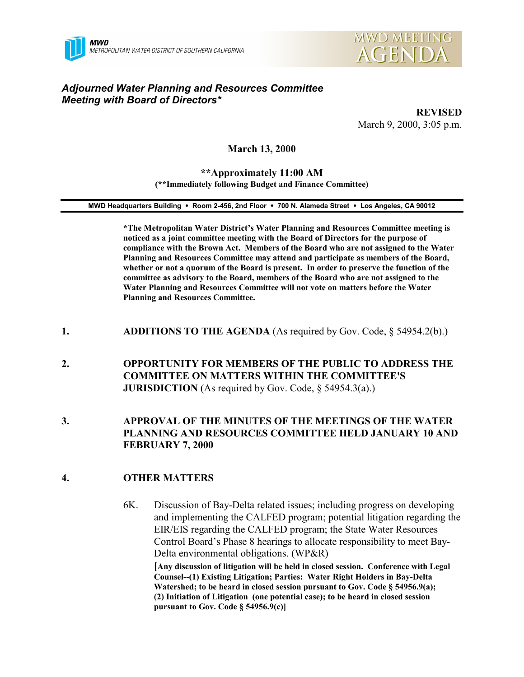



## *Adjourned Water Planning and Resources Committee Meeting with Board of Directors\**

**REVISED** March 9, 2000, 3:05 p.m.

**March 13, 2000**

#### **\*\*Approximately 11:00 AM (\*\*Immediately following Budget and Finance Committee)**

**MWD Headquarters Building** ! **Room 2-456, 2nd Floor** ! **700 N. Alameda Street** ! **Los Angeles, CA 90012**

**\*The Metropolitan Water District's Water Planning and Resources Committee meeting is noticed as a joint committee meeting with the Board of Directors for the purpose of compliance with the Brown Act. Members of the Board who are not assigned to the Water Planning and Resources Committee may attend and participate as members of the Board, whether or not a quorum of the Board is present. In order to preserve the function of the committee as advisory to the Board, members of the Board who are not assigned to the Water Planning and Resources Committee will not vote on matters before the Water Planning and Resources Committee.**

- **1. ADDITIONS TO THE AGENDA** (As required by Gov. Code, § 54954.2(b).)
- **2. OPPORTUNITY FOR MEMBERS OF THE PUBLIC TO ADDRESS THE COMMITTEE ON MATTERS WITHIN THE COMMITTEE'S JURISDICTION** (As required by Gov. Code, § 54954.3(a).)
- **3. APPROVAL OF THE MINUTES OF THE MEETINGS OF THE WATER PLANNING AND RESOURCES COMMITTEE HELD JANUARY 10 AND FEBRUARY 7, 2000**

### **4. OTHER MATTERS**

6K. Discussion of Bay-Delta related issues; including progress on developing and implementing the CALFED program; potential litigation regarding the EIR/EIS regarding the CALFED program; the State Water Resources Control Board's Phase 8 hearings to allocate responsibility to meet Bay-Delta environmental obligations. (WP&R) **[Any discussion of litigation will be held in closed session. Conference with Legal Counsel--(1) Existing Litigation; Parties: Water Right Holders in Bay-Delta Watershed; to be heard in closed session pursuant to Gov. Code § 54956.9(a); (2) Initiation of Litigation (one potential case); to be heard in closed session pursuant to Gov. Code § 54956.9(c)]**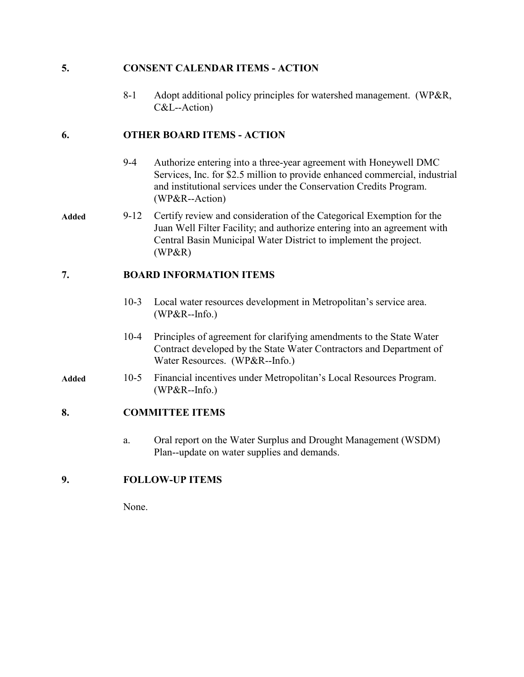### **5. CONSENT CALENDAR ITEMS - ACTION**

8-1 Adopt additional policy principles for watershed management. (WP&R, C&L--Action)

## **6. OTHER BOARD ITEMS - ACTION**

- 9-4 Authorize entering into a three-year agreement with Honeywell DMC Services, Inc. for \$2.5 million to provide enhanced commercial, industrial and institutional services under the Conservation Credits Program. (WP&R--Action)
- **Added** 9-12 Certify review and consideration of the Categorical Exemption for the Juan Well Filter Facility; and authorize entering into an agreement with Central Basin Municipal Water District to implement the project. (WP&R)

# **7. BOARD INFORMATION ITEMS**

- 10-3 Local water resources development in Metropolitan's service area. (WP&R--Info.)
- 10-4 Principles of agreement for clarifying amendments to the State Water Contract developed by the State Water Contractors and Department of Water Resources. (WP&R--Info.)
- **Added** 10-5 Financial incentives under Metropolitan's Local Resources Program. (WP&R--Info.)

### **8. COMMITTEE ITEMS**

a. Oral report on the Water Surplus and Drought Management (WSDM) Plan--update on water supplies and demands.

### **9. FOLLOW-UP ITEMS**

None.